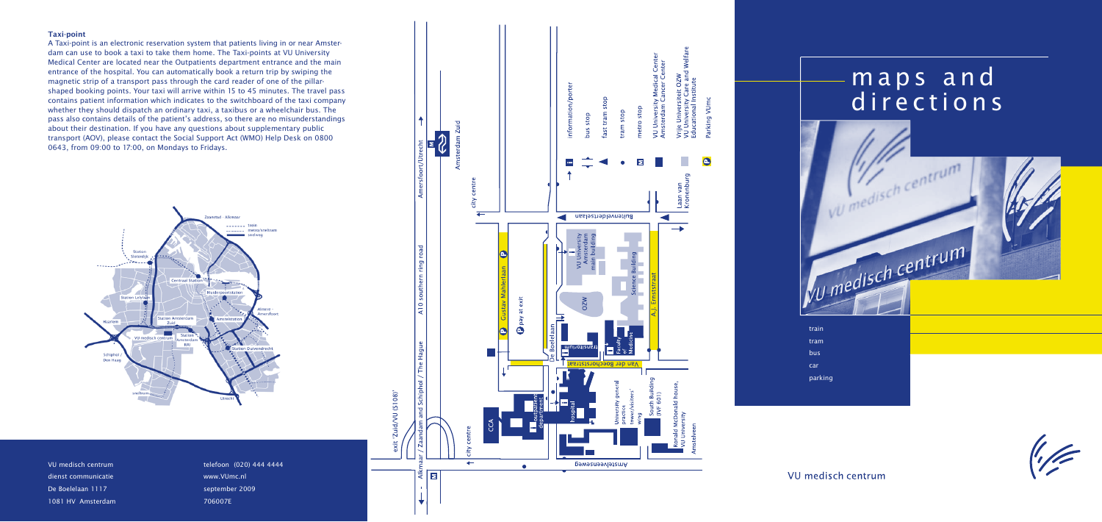



VU medisch centrum

parking

### **Taxi-point**

VU medisch centrum dienst communicatie De Boelelaan 1117 1081 HV Amsterdam

A Taxi-point is an electronic reservation system that patients living in or near Amsterdam can use to book a taxi to take them home. The Taxi-points at VU University Medical Center are located near the Outpatients department entrance and the main entrance of the hospital. You can automatically book a return trip by swiping the magnetic strip of a transport pass through the card reader of one of the pillarshaped booking points. Your taxi will arrive within 15 to 45 minutes. The travel pass contains patient information which indicates to the switchboard of the taxi company whether they should dispatch an ordinary taxi, a taxibus or a wheelchair bus. The pass also contains details of the patient's address, so there are no misunderstandings about their destination. If you have any questions about supplementary public transport (AOV), please contact the Social Support Act (WMO) Help Desk on 0800 0643, from 09:00 to 17:00, on Mondays to Fridays.



telefoon (020) 444 4444 www.VUmc.nl september 2009 706007E



# m a p s a n d directions